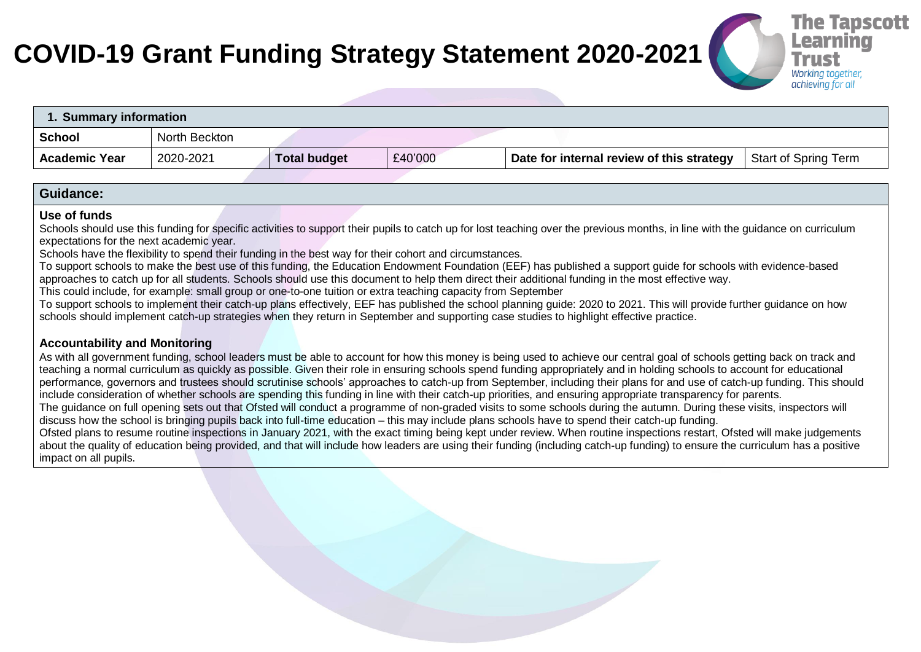# **COVID-19 Grant Funding Strategy Statement 2020-2021**



| 1. Summary information |               |                     |         |                                           |                      |
|------------------------|---------------|---------------------|---------|-------------------------------------------|----------------------|
| <b>School</b>          | North Beckton |                     |         |                                           |                      |
| <b>Academic Year</b>   | 2020-2021     | <b>Total budget</b> | £40'000 | Date for internal review of this strategy | Start of Spring Term |

### **Guidance:**

#### **Use of funds**

Schools should use this funding for specific activities to support their pupils to catch up for lost teaching over the previous months, in line with the quidance on curriculum expectations for the next academic year.

Schools have the flexibility to spend their funding in the best way for their cohort and circumstances.

To support schools to make the best use of this funding, the Education Endowment Foundation (EEF) has published a support guide for schools with evidence-based approaches to catch up for all students. Schools should use this document to help them direct their additional funding in the most effective way.

This could include, for example: small group or one-to-one tuition or extra teaching capacity from September

To support schools to implement their catch-up plans effectively, EEF has published the school planning guide: 2020 to 2021. This will provide further guidance on how schools should implement catch-up strategies when they return in September and supporting case studies to highlight effective practice.

## **Accountability and Monitoring**

As with all government funding, school leaders must be able to account for how this money is being used to achieve our central goal of schools getting back on track and teaching a normal curriculum as quickly as possible. Given their role in ensuring schools spend funding appropriately and in holding schools to account for educational performance, governors and trustees should scrutinise schools' approaches to catch-up from September, including their plans for and use of catch-up funding. This should include consideration of whether schools are spending this funding in line with their catch-up priorities, and ensuring appropriate transparency for parents. The guidance on full opening sets out that Ofsted will conduct a programme of non-graded visits to some schools during the autumn. During these visits, inspectors will discuss how the school is bringing pupils back into full-time education – this may include plans schools have to spend their catch-up funding. Ofsted plans to resume routine inspections in January 2021, with the exact timing being kept under review. When routine inspections restart, Ofsted will make judgements about the quality of education being provided, and that will include how leaders are using their funding (including catch-up funding) to ensure the curriculum has a positive impact on all pupils.

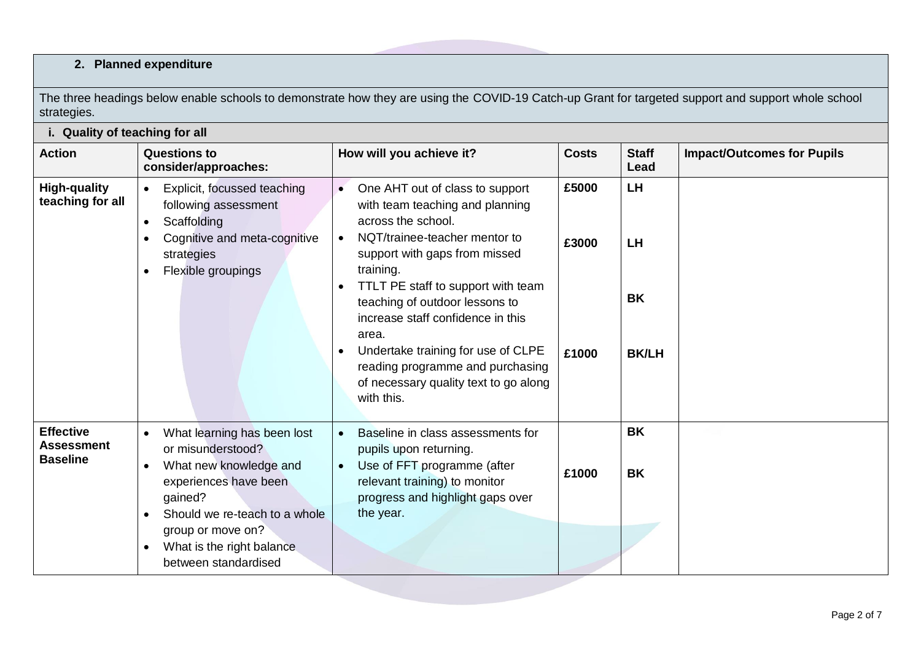# **2. Planned expenditure**

The three headings below enable schools to demonstrate how they are using the COVID-19 Catch-up Grant for targeted support and support whole school strategies.

| i. Quality of teaching for all                    |                                                                                                                                                                                                                                                                  |                                                                                                                                                                                                                                                                                                                                                                                                                                             |                         |                                                     |                                   |  |
|---------------------------------------------------|------------------------------------------------------------------------------------------------------------------------------------------------------------------------------------------------------------------------------------------------------------------|---------------------------------------------------------------------------------------------------------------------------------------------------------------------------------------------------------------------------------------------------------------------------------------------------------------------------------------------------------------------------------------------------------------------------------------------|-------------------------|-----------------------------------------------------|-----------------------------------|--|
| <b>Action</b>                                     | <b>Questions to</b><br>consider/approaches:                                                                                                                                                                                                                      | How will you achieve it?                                                                                                                                                                                                                                                                                                                                                                                                                    | <b>Costs</b>            | <b>Staff</b><br>Lead                                | <b>Impact/Outcomes for Pupils</b> |  |
| <b>High-quality</b><br>teaching for all           | Explicit, focussed teaching<br>following assessment<br>Scaffolding<br>$\bullet$<br>Cognitive and meta-cognitive<br>$\bullet$<br>strategies<br>Flexible groupings<br>$\bullet$                                                                                    | One AHT out of class to support<br>$\bullet$<br>with team teaching and planning<br>across the school.<br>NQT/trainee-teacher mentor to<br>support with gaps from missed<br>training.<br>TTLT PE staff to support with team<br>teaching of outdoor lessons to<br>increase staff confidence in this<br>area.<br>Undertake training for use of CLPE<br>reading programme and purchasing<br>of necessary quality text to go along<br>with this. | £5000<br>£3000<br>£1000 | <b>LH</b><br><b>LH</b><br><b>BK</b><br><b>BK/LH</b> |                                   |  |
| <b>Effective</b><br>Assessment<br><b>Baseline</b> | What learning has been lost<br>or misunderstood?<br>What new knowledge and<br>$\bullet$<br>experiences have been<br>gained?<br>Should we re-teach to a whole<br>$\bullet$<br>group or move on?<br>What is the right balance<br>$\bullet$<br>between standardised | Baseline in class assessments for<br>pupils upon returning.<br>Use of FFT programme (after<br>relevant training) to monitor<br>progress and highlight gaps over<br>the year.                                                                                                                                                                                                                                                                | £1000                   | <b>BK</b><br><b>BK</b>                              |                                   |  |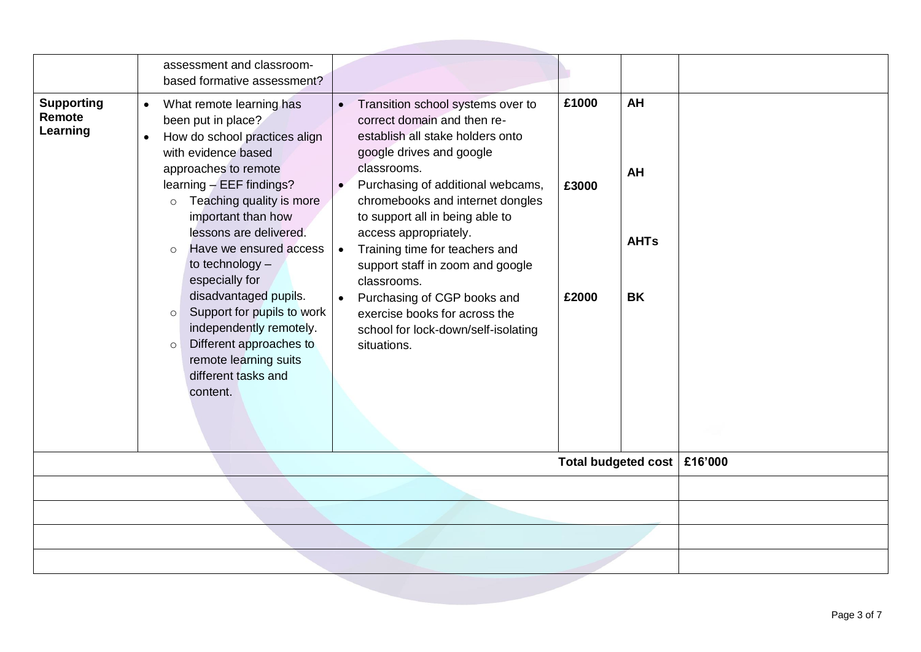| <b>Supporting</b><br>Remote<br>Learning | assessment and classroom-<br>based formative assessment?<br>What remote learning has<br>$\bullet$<br>been put in place?<br>How do school practices align<br>$\bullet$<br>with evidence based<br>approaches to remote<br>learning $-$ EEF findings?<br>$\circ$ Teaching quality is more<br>important than how<br>lessons are delivered.<br>Have we ensured access<br>$\circ$<br>to technology -<br>especially for<br>disadvantaged pupils.<br>Support for pupils to work<br>$\circ$<br>independently remotely.<br>Different approaches to<br>$\circ$<br>remote learning suits<br>different tasks and<br>content. | Transition school systems over to<br>$\bullet$<br>correct domain and then re-<br>establish all stake holders onto<br>google drives and google<br>classrooms.<br>Purchasing of additional webcams,<br>$\bullet$<br>chromebooks and internet dongles<br>to support all in being able to<br>access appropriately.<br>Training time for teachers and<br>$\bullet$<br>support staff in zoom and google<br>classrooms.<br>Purchasing of CGP books and<br>$\bullet$<br>exercise books for across the<br>school for lock-down/self-isolating<br>situations. | <b>AH</b><br>£1000<br><b>AH</b><br>£3000<br><b>AHTs</b><br>£2000<br><b>BK</b> |  |
|-----------------------------------------|-----------------------------------------------------------------------------------------------------------------------------------------------------------------------------------------------------------------------------------------------------------------------------------------------------------------------------------------------------------------------------------------------------------------------------------------------------------------------------------------------------------------------------------------------------------------------------------------------------------------|-----------------------------------------------------------------------------------------------------------------------------------------------------------------------------------------------------------------------------------------------------------------------------------------------------------------------------------------------------------------------------------------------------------------------------------------------------------------------------------------------------------------------------------------------------|-------------------------------------------------------------------------------|--|
|                                         | £16'000                                                                                                                                                                                                                                                                                                                                                                                                                                                                                                                                                                                                         |                                                                                                                                                                                                                                                                                                                                                                                                                                                                                                                                                     |                                                                               |  |
|                                         |                                                                                                                                                                                                                                                                                                                                                                                                                                                                                                                                                                                                                 |                                                                                                                                                                                                                                                                                                                                                                                                                                                                                                                                                     |                                                                               |  |
|                                         |                                                                                                                                                                                                                                                                                                                                                                                                                                                                                                                                                                                                                 |                                                                                                                                                                                                                                                                                                                                                                                                                                                                                                                                                     |                                                                               |  |
|                                         |                                                                                                                                                                                                                                                                                                                                                                                                                                                                                                                                                                                                                 |                                                                                                                                                                                                                                                                                                                                                                                                                                                                                                                                                     |                                                                               |  |
|                                         |                                                                                                                                                                                                                                                                                                                                                                                                                                                                                                                                                                                                                 |                                                                                                                                                                                                                                                                                                                                                                                                                                                                                                                                                     |                                                                               |  |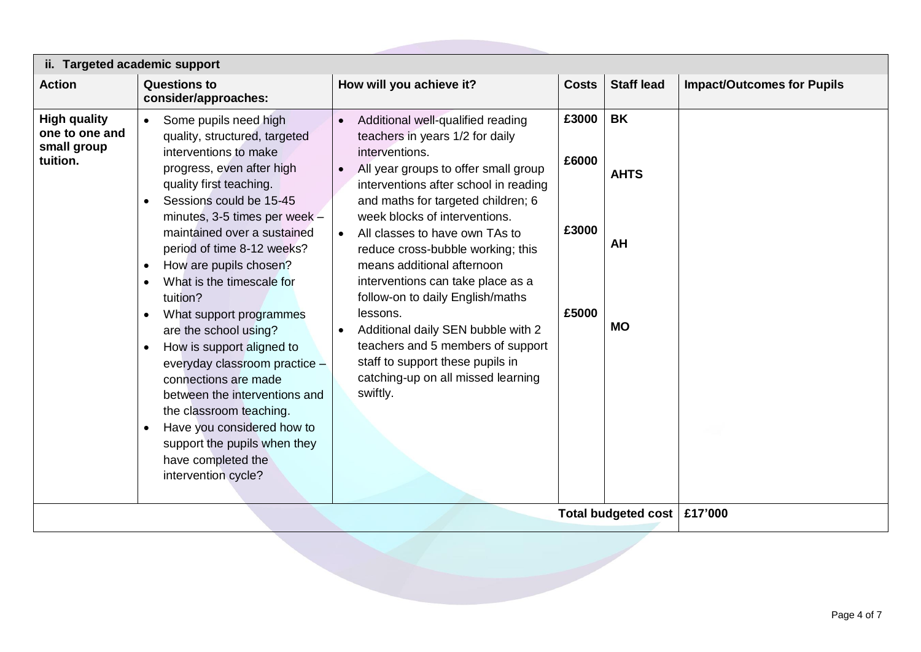| ii. Targeted academic support                                    |                                                                                                                                                                                                                                                                                                                                                                                                                                                                               |                                                                                                                                                                                                                                                                                                                                                                                                                                                                                                                                                                                                                        |                                  |                                             |                                   |  |
|------------------------------------------------------------------|-------------------------------------------------------------------------------------------------------------------------------------------------------------------------------------------------------------------------------------------------------------------------------------------------------------------------------------------------------------------------------------------------------------------------------------------------------------------------------|------------------------------------------------------------------------------------------------------------------------------------------------------------------------------------------------------------------------------------------------------------------------------------------------------------------------------------------------------------------------------------------------------------------------------------------------------------------------------------------------------------------------------------------------------------------------------------------------------------------------|----------------------------------|---------------------------------------------|-----------------------------------|--|
| <b>Action</b>                                                    | <b>Questions to</b><br>consider/approaches:                                                                                                                                                                                                                                                                                                                                                                                                                                   | How will you achieve it?                                                                                                                                                                                                                                                                                                                                                                                                                                                                                                                                                                                               | <b>Costs</b>                     | <b>Staff lead</b>                           | <b>Impact/Outcomes for Pupils</b> |  |
| <b>High quality</b><br>one to one and<br>small group<br>tuition. | Some pupils need high<br>quality, structured, targeted<br>interventions to make<br>progress, even after high<br>quality first teaching.<br>Sessions could be 15-45<br>minutes, 3-5 times per week -<br>maintained over a sustained<br>period of time 8-12 weeks?<br>How are pupils chosen?<br>What is the timescale for<br>tuition?<br>What support programmes<br>are the school using?<br>How is support aligned to<br>everyday classroom practice -<br>connections are made | Additional well-qualified reading<br>teachers in years 1/2 for daily<br>interventions.<br>All year groups to offer small group<br>interventions after school in reading<br>and maths for targeted children; 6<br>week blocks of interventions.<br>All classes to have own TAs to<br>reduce cross-bubble working; this<br>means additional afternoon<br>interventions can take place as a<br>follow-on to daily English/maths<br>lessons.<br>Additional daily SEN bubble with 2<br>$\bullet$<br>teachers and 5 members of support<br>staff to support these pupils in<br>catching-up on all missed learning<br>swiftly. | £3000<br>£6000<br>£3000<br>£5000 | <b>BK</b><br><b>AHTS</b><br>AH<br><b>MO</b> |                                   |  |
|                                                                  | between the interventions and<br>the classroom teaching.<br>Have you considered how to<br>support the pupils when they<br>have completed the<br>intervention cycle?                                                                                                                                                                                                                                                                                                           |                                                                                                                                                                                                                                                                                                                                                                                                                                                                                                                                                                                                                        |                                  | Total budgeted cost                         | £17'000                           |  |
|                                                                  |                                                                                                                                                                                                                                                                                                                                                                                                                                                                               |                                                                                                                                                                                                                                                                                                                                                                                                                                                                                                                                                                                                                        |                                  |                                             |                                   |  |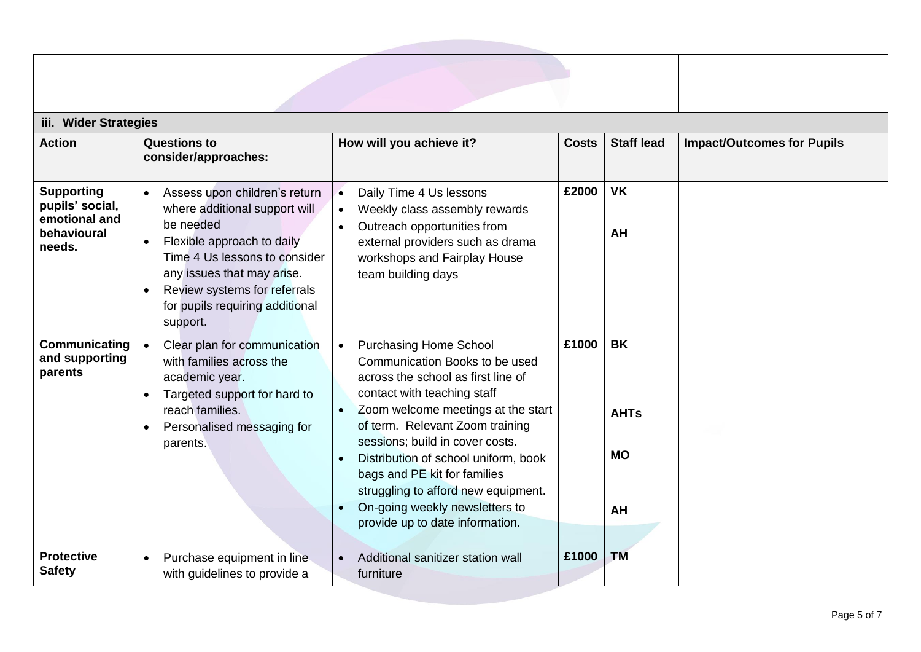| iii. Wider Strategies                                                          |                                                                                                                                                                                                                                                                                                |                                                                                                                                                                                                                                                                                                                                                                                                                                                                             |              |                                             |                                   |  |  |
|--------------------------------------------------------------------------------|------------------------------------------------------------------------------------------------------------------------------------------------------------------------------------------------------------------------------------------------------------------------------------------------|-----------------------------------------------------------------------------------------------------------------------------------------------------------------------------------------------------------------------------------------------------------------------------------------------------------------------------------------------------------------------------------------------------------------------------------------------------------------------------|--------------|---------------------------------------------|-----------------------------------|--|--|
| <b>Action</b>                                                                  | <b>Questions to</b><br>consider/approaches:                                                                                                                                                                                                                                                    | How will you achieve it?                                                                                                                                                                                                                                                                                                                                                                                                                                                    | <b>Costs</b> | <b>Staff lead</b>                           | <b>Impact/Outcomes for Pupils</b> |  |  |
| <b>Supporting</b><br>pupils' social,<br>emotional and<br>behavioural<br>needs. | Assess upon children's return<br>$\bullet$<br>where additional support will<br>be needed<br>Flexible approach to daily<br>$\bullet$<br>Time 4 Us lessons to consider<br>any issues that may arise.<br>Review systems for referrals<br>$\bullet$<br>for pupils requiring additional<br>support. | Daily Time 4 Us lessons<br>$\bullet$<br>Weekly class assembly rewards<br>$\bullet$<br>Outreach opportunities from<br>$\bullet$<br>external providers such as drama<br>workshops and Fairplay House<br>team building days                                                                                                                                                                                                                                                    | £2000        | <b>VK</b><br>AH                             |                                   |  |  |
| Communicating<br>and supporting<br>parents                                     | Clear plan for communication<br>$\bullet$<br>with families across the<br>academic year.<br>Targeted support for hard to<br>reach families.<br>Personalised messaging for<br>parents.                                                                                                           | <b>Purchasing Home School</b><br>$\bullet$<br>Communication Books to be used<br>across the school as first line of<br>contact with teaching staff<br>Zoom welcome meetings at the start<br>$\bullet$<br>of term. Relevant Zoom training<br>sessions; build in cover costs.<br>Distribution of school uniform, book<br>$\bullet$<br>bags and PE kit for families<br>struggling to afford new equipment.<br>On-going weekly newsletters to<br>provide up to date information. | £1000        | <b>BK</b><br><b>AHTs</b><br><b>MO</b><br>AH |                                   |  |  |
| <b>Protective</b><br><b>Safety</b>                                             | Purchase equipment in line<br>with guidelines to provide a                                                                                                                                                                                                                                     | Additional sanitizer station wall<br>$\bullet$<br>furniture                                                                                                                                                                                                                                                                                                                                                                                                                 | £1000        | <b>TM</b>                                   |                                   |  |  |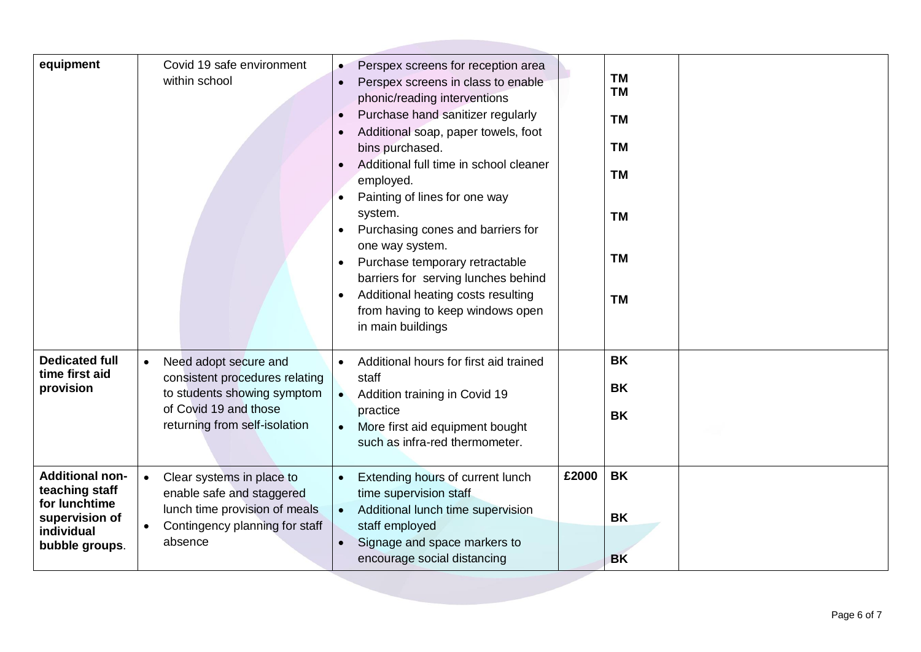| equipment                                                                                                   | Covid 19 safe environment<br>within school                                                                                                                    | Perspex screens for reception area<br>Perspex screens in class to enable<br>phonic/reading interventions<br>Purchase hand sanitizer regularly<br>Additional soap, paper towels, foot<br>bins purchased.<br>Additional full time in school cleaner<br>employed.<br>Painting of lines for one way<br>system.<br>Purchasing cones and barriers for<br>one way system.<br>Purchase temporary retractable<br>barriers for serving lunches behind<br>Additional heating costs resulting<br>from having to keep windows open<br>in main buildings |       | <b>TM</b><br><b>TM</b><br><b>TM</b><br><b>TM</b><br><b>TM</b><br><b>TM</b><br><b>TM</b><br><b>TM</b> |
|-------------------------------------------------------------------------------------------------------------|---------------------------------------------------------------------------------------------------------------------------------------------------------------|--------------------------------------------------------------------------------------------------------------------------------------------------------------------------------------------------------------------------------------------------------------------------------------------------------------------------------------------------------------------------------------------------------------------------------------------------------------------------------------------------------------------------------------------|-------|------------------------------------------------------------------------------------------------------|
| <b>Dedicated full</b><br>time first aid<br>provision                                                        | Need adopt secure and<br>$\bullet$<br>consistent procedures relating<br>to students showing symptom<br>of Covid 19 and those<br>returning from self-isolation | Additional hours for first aid trained<br>$\bullet$<br>staff<br>Addition training in Covid 19<br>$\bullet$<br>practice<br>More first aid equipment bought<br>$\bullet$<br>such as infra-red thermometer.                                                                                                                                                                                                                                                                                                                                   |       | <b>BK</b><br><b>BK</b><br><b>BK</b>                                                                  |
| <b>Additional non-</b><br>teaching staff<br>for lunchtime<br>supervision of<br>individual<br>bubble groups. | Clear systems in place to<br>$\bullet$<br>enable safe and staggered<br>lunch time provision of meals<br>Contingency planning for staff<br>absence             | Extending hours of current lunch<br>time supervision staff<br>Additional lunch time supervision<br>$\bullet$<br>staff employed<br>Signage and space markers to<br>$\bullet$<br>encourage social distancing                                                                                                                                                                                                                                                                                                                                 | £2000 | <b>BK</b><br><b>BK</b><br><b>BK</b>                                                                  |